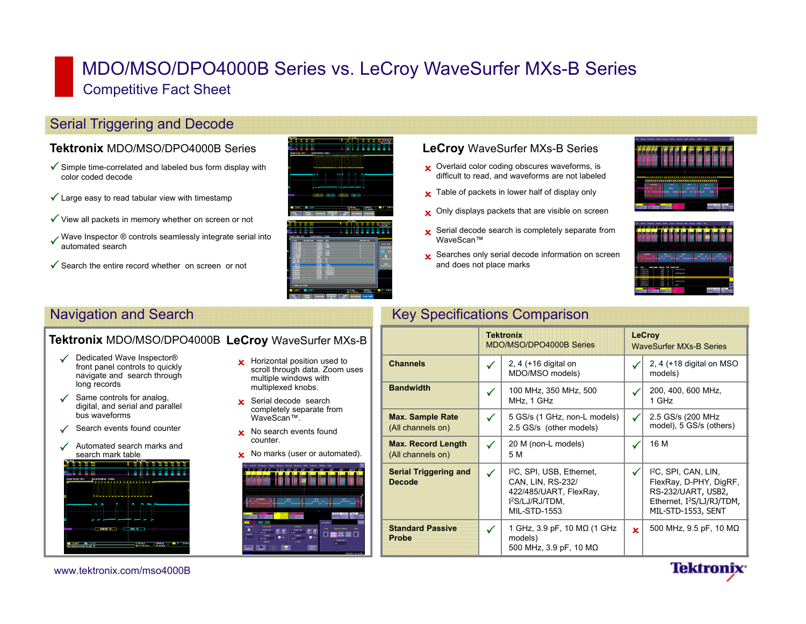# MDO/MSO/DPO4000B Series vs. LeCroy WaveSurfer MXs-B Series Competitive Fact Sheet

## Serial Triggering and Decode

### **Tektronix** MDO/MSO/DPO4000B Series

- $\checkmark$  Simple time-correlated and labeled bus form display with color coded decode
- $\checkmark$  Large easy to read tabular view with timestamp
- $\checkmark$  View all packets in memory whether on screen or not
- Wave Inspector  $\circledR$  controls seamlessly integrate serial into automated search
- $\checkmark$  Search the entire record whether on screen or not



#### **LeCroy** WaveSurfer MXs-B Series

- **x** Overlaid color coding obscures waveforms, is difficult to read, and waveforms are not labeled
- $\boldsymbol{\times}$  Table of packets in lower half of display only
- **x** Only displays packets that are visible on screen
- $\overline{\mathbf{x}}$  Serial decode search is completely separate from WaveScan™
- $\boldsymbol{\times}$  Searches only serial decode information on screen and does not place marks





**Tektronix** 

### **Tektronix** MDO/MSO/DPO4000B **LeCroy** WaveSurfer MXs-B

- Dedicated Wave Inspector® front panel controls to quickly navigate and search through long records
- $\checkmark$  Same controls for analog, digital, and serial and parallel bus waveforms
- ✓ Search events found counter
- ✓ Automated search marks and search mark table



- **x** Horizontal position used to scroll through data. Zoom uses multiple windows with multiplexed knobs.
- **x** Serial decode search completely separate from WaveScan™.
- **x** No search events found counter.
- **x** No marks (user or automated).



# Navigation and Search **Key Specifications Comparison** Key Specifications Comparison

|                                                |              | <b>Tektronix</b><br>MDO/MSO/DPO4000B Series                                                                                               |              | <b>LeCroy</b><br><b>WaveSurfer MXs-B Series</b>                                                                                                 |
|------------------------------------------------|--------------|-------------------------------------------------------------------------------------------------------------------------------------------|--------------|-------------------------------------------------------------------------------------------------------------------------------------------------|
| <b>Channels</b>                                | $\checkmark$ | 2, 4 (+16 digital on<br>MDO/MSO models)                                                                                                   |              | 2, 4 ( $+18$ digital on MSO<br>models)                                                                                                          |
| <b>Bandwidth</b>                               | ✓            | 100 MHz, 350 MHz, 500<br>MHz, 1 GHz                                                                                                       |              | 200, 400, 600 MHz,<br>1 GHz                                                                                                                     |
| <b>Max. Sample Rate</b><br>(All channels on)   | $\checkmark$ | 5 GS/s (1 GHz, non-L models)<br>2.5 GS/s (other models)                                                                                   | $\checkmark$ | 2.5 GS/s (200 MHz)<br>model), 5 GS/s (others)                                                                                                   |
| <b>Max. Record Length</b><br>(All channels on) | ✓            | 20 M (non-L models)<br>5 M                                                                                                                | $\checkmark$ | 16 M                                                                                                                                            |
| <b>Serial Triggering and</b><br><b>Decode</b>  | $\checkmark$ | <sup>12</sup> C, SPI, USB, Ethernet,<br>CAN, LIN, RS-232/<br>422/485/UART, FlexRay,<br>I <sup>2</sup> S/LJ/RJ/TDM.<br><b>MIL-STD-1553</b> | ✓            | 1 <sup>2</sup> C, SPI, CAN, LIN,<br>FlexRay, D-PHY, DigRF,<br>RS-232/UART, USB2,<br>Ethernet, I <sup>2</sup> S/LJ/RJ/TDM,<br>MIL-STD-1553, SENT |
| <b>Standard Passive</b><br>Probe               | $\checkmark$ | 1 GHz, 3.9 pF, 10 MΩ (1 GHz<br>models)<br>500 MHz, 3.9 pF, 10 M $\Omega$                                                                  | $\mathbf x$  | 500 MHz, 9.5 pF, 10 MΩ                                                                                                                          |

www.tektronix.com/mso4000B